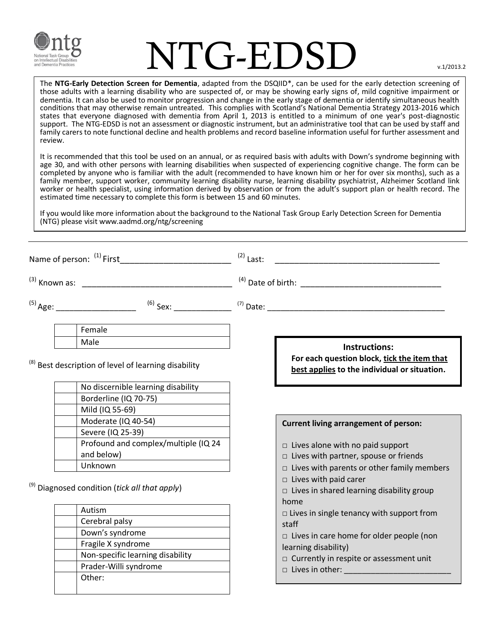

## $\Gamma$ G-EDSD  $\Box$

The **NTG-Early Detection Screen for Dementia**, adapted from the DSQIID\*, can be used for the early detection screening of those adults with a learning disability who are suspected of, or may be showing early signs of, mild cognitive impairment or dementia. It can also be used to monitor progression and change in the early stage of dementia or identify simultaneous health conditions that may otherwise remain untreated. This complies with Scotland's National Dementia Strategy 2013-2016 which states that everyone diagnosed with dementia from April 1, 2013 is entitled to a minimum of one year's post-diagnostic support. The NTG-EDSD is not an assessment or diagnostic instrument, but an administrative tool that can be used by staff and family carers to note functional decline and health problems and record baseline information useful for further assessment and review.

It is recommended that this tool be used on an annual, or as required basis with adults with Down's syndrome beginning with age 30, and with other persons with learning disabilities when suspected of experiencing cognitive change. The form can be completed by anyone who is familiar with the adult (recommended to have known him or her for over six months), such as a family member, support worker, community learning disability nurse, learning disability psychiatrist, Alzheimer Scotland link worker or health specialist, using information derived by observation or from the adult's support plan or health record. The estimated time necessary to complete this form is between 15 and 60 minutes.

If you would like more information about the background to the National Task Group Early Detection Screen for Dementia (NTG) please visit www.aadmd.org/ntg/screening

|                                                               |                                                                                                                                | $(2)$ Last: |                                                                                                                                                                                                                                                                                                                                                                                                                                                                                |
|---------------------------------------------------------------|--------------------------------------------------------------------------------------------------------------------------------|-------------|--------------------------------------------------------------------------------------------------------------------------------------------------------------------------------------------------------------------------------------------------------------------------------------------------------------------------------------------------------------------------------------------------------------------------------------------------------------------------------|
|                                                               |                                                                                                                                |             |                                                                                                                                                                                                                                                                                                                                                                                                                                                                                |
|                                                               |                                                                                                                                |             |                                                                                                                                                                                                                                                                                                                                                                                                                                                                                |
|                                                               | Female                                                                                                                         |             |                                                                                                                                                                                                                                                                                                                                                                                                                                                                                |
|                                                               | Male<br><sup>(8)</sup> Best description of level of learning disability                                                        |             | <b>Instructions:</b><br>For each question block, tick the item that<br>best applies to the individual or situation.                                                                                                                                                                                                                                                                                                                                                            |
|                                                               | No discernible learning disability<br>Borderline (IQ 70-75)<br>Mild (IQ 55-69)                                                 |             |                                                                                                                                                                                                                                                                                                                                                                                                                                                                                |
|                                                               | Moderate (IQ 40-54)<br>Severe (IQ 25-39)                                                                                       |             | <b>Current living arrangement of person:</b>                                                                                                                                                                                                                                                                                                                                                                                                                                   |
|                                                               | Profound and complex/multiple (IQ 24<br>and below)                                                                             |             | $\Box$ Lives alone with no paid support<br>$\Box$ Lives with partner, spouse or friends                                                                                                                                                                                                                                                                                                                                                                                        |
| Unknown<br>$^{(9)}$ Diagnosed condition (tick all that apply) |                                                                                                                                |             | $\Box$ Lives with parents or other family members<br>$\Box$ Lives with paid carer<br>$\Box$ Lives in shared learning disability group                                                                                                                                                                                                                                                                                                                                          |
|                                                               | Autism<br>Cerebral palsy<br>Down's syndrome<br>Fragile X syndrome<br>Non-specific learning disability<br>Prader-Willi syndrome |             | home<br>$\Box$ Lives in single tenancy with support from<br>staff<br>$\Box$ Lives in care home for older people (non<br>learning disability)<br>$\Box$ Currently in respite or assessment unit<br>$\Box$ Lives in other: $\Box$ and $\Box$ and $\Box$ and $\Box$ and $\Box$ and $\Box$ and $\Box$ and $\Box$ and $\Box$ and $\Box$ and $\Box$ and $\Box$ and $\Box$ and $\Box$ and $\Box$ and $\Box$ and $\Box$ and $\Box$ and $\Box$ and $\Box$ and $\Box$ and $\Box$ and $\$ |
|                                                               | Other:                                                                                                                         |             |                                                                                                                                                                                                                                                                                                                                                                                                                                                                                |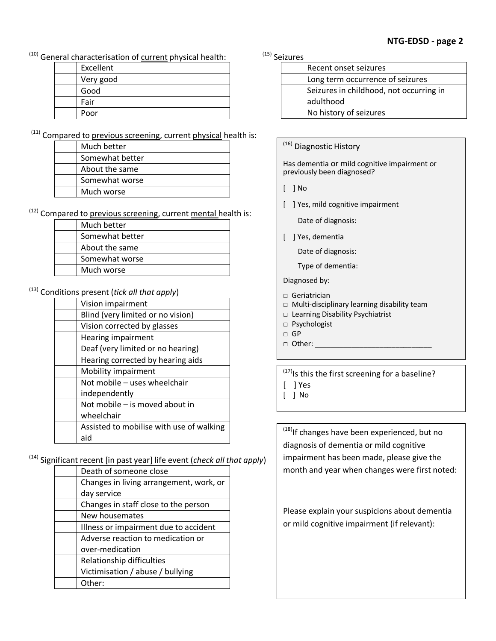$(10)$  General characterisation of current physical health:  $(15)$  Seizures

| Excellent |
|-----------|
| Very good |
| Good      |
| Fair      |
| Poor      |

 $(11)$  Compared to previous screening, current physical health is:

| Much better     |  |
|-----------------|--|
| Somewhat better |  |
| About the same  |  |
| Somewhat worse  |  |
| Much worse      |  |

 $(12)$  Compared to previous screening, current mental health is:

| Much better     |
|-----------------|
| Somewhat better |
| About the same  |
| Somewhat worse  |
| Much worse      |

(13) Conditions present (*tick all that apply*)

| Vision impairment                        |  |
|------------------------------------------|--|
| Blind (very limited or no vision)        |  |
| Vision corrected by glasses              |  |
| Hearing impairment                       |  |
| Deaf (very limited or no hearing)        |  |
| Hearing corrected by hearing aids        |  |
| Mobility impairment                      |  |
| Not mobile - uses wheelchair             |  |
| independently                            |  |
| Not mobile – is moved about in           |  |
| wheelchair                               |  |
| Assisted to mobilise with use of walking |  |
| aid                                      |  |

(14) Significant recent [in past year] life event (*check all that apply*)

| Death of someone close                  |  |
|-----------------------------------------|--|
| Changes in living arrangement, work, or |  |
| day service                             |  |
| Changes in staff close to the person    |  |
| New housemates                          |  |
| Illness or impairment due to accident   |  |
| Adverse reaction to medication or       |  |
| over-medication                         |  |
| Relationship difficulties               |  |
| Victimisation / abuse / bullying        |  |
| Other:                                  |  |

| . 2016 |                                         |  |  |
|--------|-----------------------------------------|--|--|
|        | Recent onset seizures                   |  |  |
|        | Long term occurrence of seizures        |  |  |
|        | Seizures in childhood, not occurring in |  |  |
|        | adulthood                               |  |  |
|        | No history of seizures                  |  |  |

(16) Diagnostic History

Has dementia or mild cognitive impairment or previously been diagnosed?

- [ ] No
- [ ] Yes, mild cognitive impairment

Date of diagnosis:

[ ] Yes, dementia

Date of diagnosis:

Type of dementia:

Diagnosed by:

- □ Geriatrician
- □ Multi-disciplinary learning disability team
- □ Learning Disability Psychiatrist
- □ Psychologist
- $\Box$  GP
- $\Box$  Other:

 $^{(17)}$ Is this the first screening for a baseline? [ ] Yes

[ ] No

<sup>(18)</sup>If changes have been experienced, but no diagnosis of dementia or mild cognitive impairment has been made, please give the month and year when changes were first noted:

Please explain your suspicions about dementia or mild cognitive impairment (if relevant):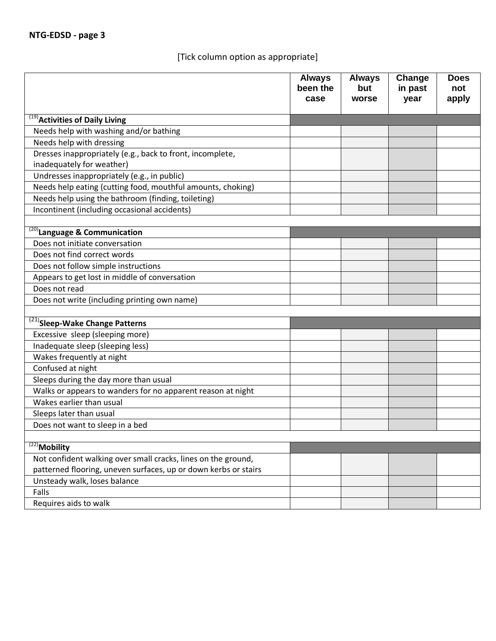## [Tick column option as appropriate]

|                                                                 | <b>Always</b><br>been the<br>case | <b>Always</b><br>but<br>worse | Change<br>in past<br>year | <b>Does</b><br>not<br>apply |
|-----------------------------------------------------------------|-----------------------------------|-------------------------------|---------------------------|-----------------------------|
| <sup>(19)</sup> Activities of Daily Living                      |                                   |                               |                           |                             |
| Needs help with washing and/or bathing                          |                                   |                               |                           |                             |
| Needs help with dressing                                        |                                   |                               |                           |                             |
| Dresses inappropriately (e.g., back to front, incomplete,       |                                   |                               |                           |                             |
| inadequately for weather)                                       |                                   |                               |                           |                             |
| Undresses inappropriately (e.g., in public)                     |                                   |                               |                           |                             |
| Needs help eating (cutting food, mouthful amounts, choking)     |                                   |                               |                           |                             |
| Needs help using the bathroom (finding, toileting)              |                                   |                               |                           |                             |
| Incontinent (including occasional accidents)                    |                                   |                               |                           |                             |
|                                                                 |                                   |                               |                           |                             |
| $\overline{^{(20)}}$ Language & Communication                   |                                   |                               |                           |                             |
| Does not initiate conversation                                  |                                   |                               |                           |                             |
| Does not find correct words                                     |                                   |                               |                           |                             |
| Does not follow simple instructions                             |                                   |                               |                           |                             |
| Appears to get lost in middle of conversation                   |                                   |                               |                           |                             |
| Does not read                                                   |                                   |                               |                           |                             |
| Does not write (including printing own name)                    |                                   |                               |                           |                             |
|                                                                 |                                   |                               |                           |                             |
| <sup>(21)</sup> Sleep-Wake Change Patterns                      |                                   |                               |                           |                             |
| Excessive sleep (sleeping more)                                 |                                   |                               |                           |                             |
| Inadequate sleep (sleeping less)                                |                                   |                               |                           |                             |
| Wakes frequently at night                                       |                                   |                               |                           |                             |
| Confused at night                                               |                                   |                               |                           |                             |
| Sleeps during the day more than usual                           |                                   |                               |                           |                             |
| Walks or appears to wanders for no apparent reason at night     |                                   |                               |                           |                             |
| Wakes earlier than usual                                        |                                   |                               |                           |                             |
| Sleeps later than usual                                         |                                   |                               |                           |                             |
| Does not want to sleep in a bed                                 |                                   |                               |                           |                             |
|                                                                 |                                   |                               |                           |                             |
| $\sqrt{(22)}$ Mobility                                          |                                   |                               |                           |                             |
| Not confident walking over small cracks, lines on the ground,   |                                   |                               |                           |                             |
| patterned flooring, uneven surfaces, up or down kerbs or stairs |                                   |                               |                           |                             |
| Unsteady walk, loses balance                                    |                                   |                               |                           |                             |
| Falls                                                           |                                   |                               |                           |                             |
| Requires aids to walk                                           |                                   |                               |                           |                             |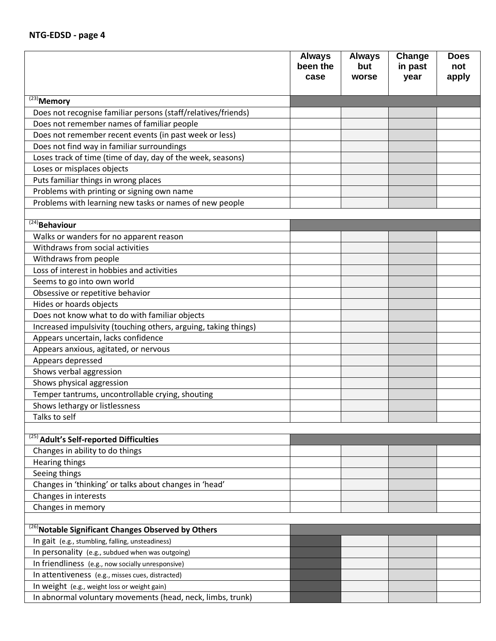|                                                                 | <b>Always</b><br>been the | <b>Always</b><br>but | Change<br>in past | <b>Does</b><br>not |
|-----------------------------------------------------------------|---------------------------|----------------------|-------------------|--------------------|
|                                                                 | case                      | worse                | year              | apply              |
| $\sqrt{(23)}$ Memory                                            |                           |                      |                   |                    |
| Does not recognise familiar persons (staff/relatives/friends)   |                           |                      |                   |                    |
| Does not remember names of familiar people                      |                           |                      |                   |                    |
| Does not remember recent events (in past week or less)          |                           |                      |                   |                    |
| Does not find way in familiar surroundings                      |                           |                      |                   |                    |
| Loses track of time (time of day, day of the week, seasons)     |                           |                      |                   |                    |
| Loses or misplaces objects                                      |                           |                      |                   |                    |
| Puts familiar things in wrong places                            |                           |                      |                   |                    |
| Problems with printing or signing own name                      |                           |                      |                   |                    |
| Problems with learning new tasks or names of new people         |                           |                      |                   |                    |
|                                                                 |                           |                      |                   |                    |
| $\sqrt{(24)}$ Behaviour                                         |                           |                      |                   |                    |
| Walks or wanders for no apparent reason                         |                           |                      |                   |                    |
| Withdraws from social activities                                |                           |                      |                   |                    |
| Withdraws from people                                           |                           |                      |                   |                    |
| Loss of interest in hobbies and activities                      |                           |                      |                   |                    |
| Seems to go into own world                                      |                           |                      |                   |                    |
| Obsessive or repetitive behavior                                |                           |                      |                   |                    |
| Hides or hoards objects                                         |                           |                      |                   |                    |
| Does not know what to do with familiar objects                  |                           |                      |                   |                    |
| Increased impulsivity (touching others, arguing, taking things) |                           |                      |                   |                    |
| Appears uncertain, lacks confidence                             |                           |                      |                   |                    |
| Appears anxious, agitated, or nervous                           |                           |                      |                   |                    |
| Appears depressed                                               |                           |                      |                   |                    |
| Shows verbal aggression                                         |                           |                      |                   |                    |
| Shows physical aggression                                       |                           |                      |                   |                    |
| Temper tantrums, uncontrollable crying, shouting                |                           |                      |                   |                    |
| Shows lethargy or listlessness                                  |                           |                      |                   |                    |
| Talks to self                                                   |                           |                      |                   |                    |
|                                                                 |                           |                      |                   |                    |
| $\overline{^{(25)}}$ Adult's Self-reported Difficulties         |                           |                      |                   |                    |
| Changes in ability to do things                                 |                           |                      |                   |                    |
| Hearing things                                                  |                           |                      |                   |                    |
| Seeing things                                                   |                           |                      |                   |                    |
| Changes in 'thinking' or talks about changes in 'head'          |                           |                      |                   |                    |
| Changes in interests                                            |                           |                      |                   |                    |
| Changes in memory                                               |                           |                      |                   |                    |
|                                                                 |                           |                      |                   |                    |
| <sup>(26)</sup> Notable Significant Changes Observed by Others  |                           |                      |                   |                    |
| In gait (e.g., stumbling, falling, unsteadiness)                |                           |                      |                   |                    |
| In personality (e.g., subdued when was outgoing)                |                           |                      |                   |                    |
| In friendliness (e.g., now socially unresponsive)               |                           |                      |                   |                    |
| In attentiveness (e.g., misses cues, distracted)                |                           |                      |                   |                    |
| In weight (e.g., weight loss or weight gain)                    |                           |                      |                   |                    |
| In abnormal voluntary movements (head, neck, limbs, trunk)      |                           |                      |                   |                    |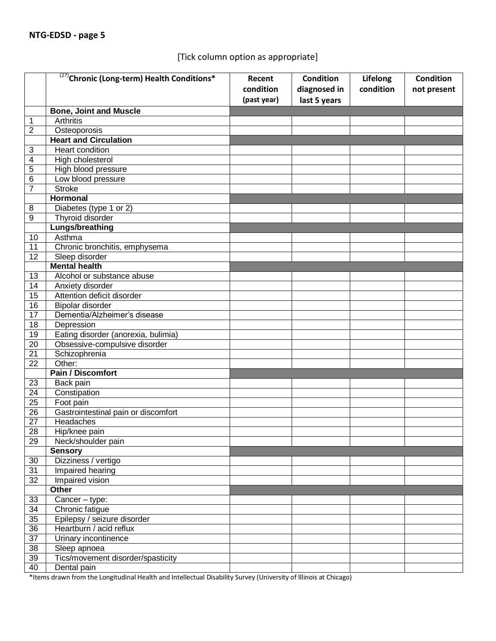## [Tick column option as appropriate]

|                 | <sup>(27)</sup> Chronic (Long-term) Health Conditions* | Recent<br>condition | <b>Condition</b><br>diagnosed in | Lifelong<br>condition | <b>Condition</b><br>not present |
|-----------------|--------------------------------------------------------|---------------------|----------------------------------|-----------------------|---------------------------------|
|                 |                                                        | (past year)         | last 5 years                     |                       |                                 |
|                 | <b>Bone, Joint and Muscle</b>                          |                     |                                  |                       |                                 |
| $\mathbf{1}$    | <b>Arthritis</b>                                       |                     |                                  |                       |                                 |
| $\overline{2}$  | Osteoporosis                                           |                     |                                  |                       |                                 |
|                 | <b>Heart and Circulation</b>                           |                     |                                  |                       |                                 |
| $\sqrt{3}$      | Heart condition                                        |                     |                                  |                       |                                 |
| 4               | High cholesterol                                       |                     |                                  |                       |                                 |
| 5               | High blood pressure                                    |                     |                                  |                       |                                 |
| 6               | Low blood pressure                                     |                     |                                  |                       |                                 |
| $\overline{7}$  | <b>Stroke</b>                                          |                     |                                  |                       |                                 |
|                 | <b>Hormonal</b>                                        |                     |                                  |                       |                                 |
| 8               | Diabetes (type 1 or 2)                                 |                     |                                  |                       |                                 |
| 9               | Thyroid disorder                                       |                     |                                  |                       |                                 |
|                 | <b>Lungs/breathing</b>                                 |                     |                                  |                       |                                 |
| 10              | Asthma                                                 |                     |                                  |                       |                                 |
| 11              | Chronic bronchitis, emphysema                          |                     |                                  |                       |                                 |
| 12              | Sleep disorder                                         |                     |                                  |                       |                                 |
|                 | <b>Mental health</b>                                   |                     |                                  |                       |                                 |
| 13              | Alcohol or substance abuse                             |                     |                                  |                       |                                 |
| 14              | Anxiety disorder                                       |                     |                                  |                       |                                 |
| 15              | Attention deficit disorder                             |                     |                                  |                       |                                 |
| 16              | Bipolar disorder                                       |                     |                                  |                       |                                 |
| 17              | Dementia/Alzheimer's disease                           |                     |                                  |                       |                                 |
| 18              | Depression                                             |                     |                                  |                       |                                 |
| 19              | Eating disorder (anorexia, bulimia)                    |                     |                                  |                       |                                 |
| 20              | Obsessive-compulsive disorder                          |                     |                                  |                       |                                 |
| 21              | Schizophrenia                                          |                     |                                  |                       |                                 |
| 22              | Other:                                                 |                     |                                  |                       |                                 |
|                 | <b>Pain / Discomfort</b>                               |                     |                                  |                       |                                 |
| 23              | Back pain                                              |                     |                                  |                       |                                 |
| 24              | Constipation                                           |                     |                                  |                       |                                 |
| 25              | Foot pain                                              |                     |                                  |                       |                                 |
| 26              | Gastrointestinal pain or discomfort                    |                     |                                  |                       |                                 |
| 27              | Headaches                                              |                     |                                  |                       |                                 |
| 28              | Hip/knee pain                                          |                     |                                  |                       |                                 |
| 29              | Neck/shoulder pain                                     |                     |                                  |                       |                                 |
|                 | <b>Sensory</b>                                         |                     |                                  |                       |                                 |
| 30              | Dizziness / vertigo                                    |                     |                                  |                       |                                 |
| $\overline{31}$ | Impaired hearing                                       |                     |                                  |                       |                                 |
| 32              | Impaired vision                                        |                     |                                  |                       |                                 |
|                 | Other                                                  |                     |                                  |                       |                                 |
| 33              | Cancer - type:                                         |                     |                                  |                       |                                 |
| 34              | Chronic fatigue                                        |                     |                                  |                       |                                 |
| $\overline{35}$ | Epilepsy / seizure disorder                            |                     |                                  |                       |                                 |
| 36              | Heartburn / acid reflux                                |                     |                                  |                       |                                 |
| $\overline{37}$ | Urinary incontinence                                   |                     |                                  |                       |                                 |
| 38              | Sleep apnoea                                           |                     |                                  |                       |                                 |
| 39              | Tics/movement disorder/spasticity                      |                     |                                  |                       |                                 |
| 40              | Dental pain                                            |                     |                                  |                       |                                 |

\*Items drawn from the Longitudinal Health and Intellectual Disability Survey (University of Illinois at Chicago)